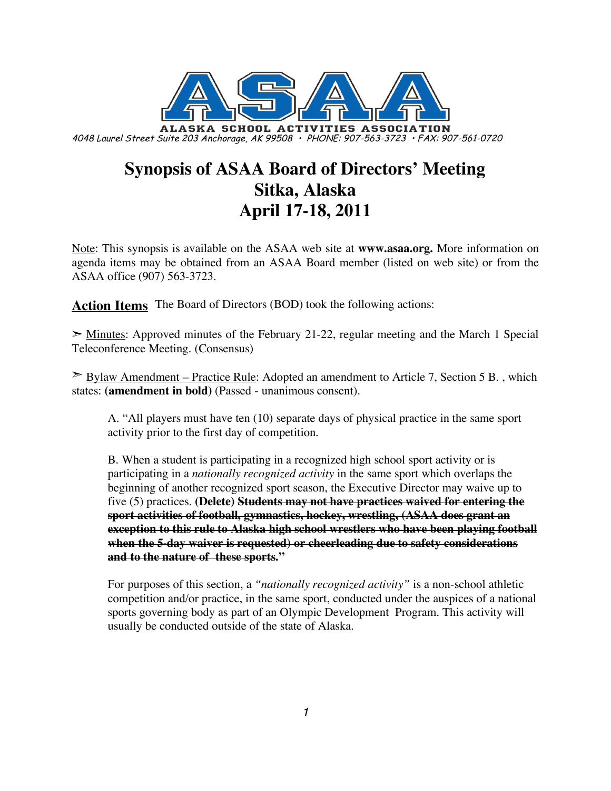

# **Synopsis of ASAA Board of Directors' Meeting Sitka, Alaska April 17-18, 2011**

Note: This synopsis is available on the ASAA web site at **www.asaa.org.** More information on agenda items may be obtained from an ASAA Board member (listed on web site) or from the ASAA office (907) 563-3723.

**Action Items** The Board of Directors (BOD) took the following actions:

 $\geq$  Minutes: Approved minutes of the February 21-22, regular meeting and the March 1 Special Teleconference Meeting. (Consensus)

 $\geq$  Bylaw Amendment – Practice Rule: Adopted an amendment to Article 7, Section 5 B., which states: **(amendment in bold)** (Passed - unanimous consent).

A. "All players must have ten (10) separate days of physical practice in the same sport activity prior to the first day of competition.

B. When a student is participating in a recognized high school sport activity or is participating in a *nationally recognized activity* in the same sport which overlaps the beginning of another recognized sport season, the Executive Director may waive up to five (5) practices. **(Delete) Students may not have practices waived for entering the sport activities of football, gymnastics, hockey, wrestling, (ASAA does grant an exception to this rule to Alaska high school wrestlers who have been playing football when the 5-day waiver is requested) or cheerleading due to safety considerations and to the nature of these sports."**

For purposes of this section, a *"nationally recognized activity"* is a non-school athletic competition and/or practice, in the same sport, conducted under the auspices of a national sports governing body as part of an Olympic Development Program. This activity will usually be conducted outside of the state of Alaska.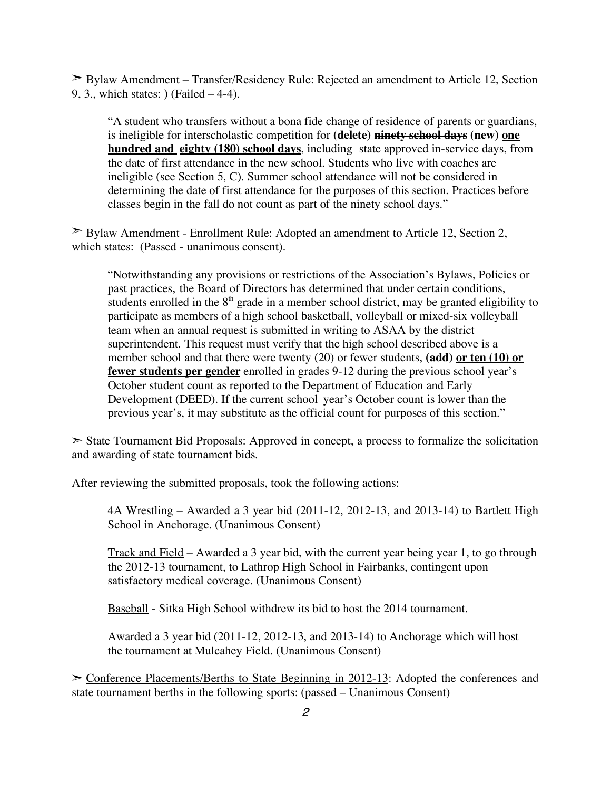► Bylaw Amendment – Transfer/Residency Rule: Rejected an amendment to Article 12, Section 9, 3., which states: **)** (Failed – 4-4).

"A student who transfers without a bona fide change of residence of parents or guardians, is ineligible for interscholastic competition for **(delete) ninety school days (new) one hundred and eighty (180) school days**, including state approved in-service days, from the date of first attendance in the new school. Students who live with coaches are ineligible (see Section 5, C). Summer school attendance will not be considered in determining the date of first attendance for the purposes of this section. Practices before classes begin in the fall do not count as part of the ninety school days."

➣ Bylaw Amendment - Enrollment Rule: Adopted an amendment to Article 12, Section 2, which states: (Passed - unanimous consent).

"Notwithstanding any provisions or restrictions of the Association's Bylaws, Policies or past practices, the Board of Directors has determined that under certain conditions, students enrolled in the  $8<sup>th</sup>$  grade in a member school district, may be granted eligibility to participate as members of a high school basketball, volleyball or mixed-six volleyball team when an annual request is submitted in writing to ASAA by the district superintendent. This request must verify that the high school described above is a member school and that there were twenty (20) or fewer students, **(add) or ten (10) or fewer students per gender** enrolled in grades 9-12 during the previous school year's October student count as reported to the Department of Education and Early Development (DEED). If the current school year's October count is lower than the previous year's, it may substitute as the official count for purposes of this section."

 $\geq$  State Tournament Bid Proposals: Approved in concept, a process to formalize the solicitation and awarding of state tournament bids.

After reviewing the submitted proposals, took the following actions:

4A Wrestling – Awarded a 3 year bid (2011-12, 2012-13, and 2013-14) to Bartlett High School in Anchorage. (Unanimous Consent)

Track and Field – Awarded a 3 year bid, with the current year being year 1, to go through the 2012-13 tournament, to Lathrop High School in Fairbanks, contingent upon satisfactory medical coverage. (Unanimous Consent)

Baseball - Sitka High School withdrew its bid to host the 2014 tournament.

Awarded a 3 year bid (2011-12, 2012-13, and 2013-14) to Anchorage which will host the tournament at Mulcahey Field. (Unanimous Consent)

 $\geq$  Conference Placements/Berths to State Beginning in 2012-13: Adopted the conferences and state tournament berths in the following sports: (passed – Unanimous Consent)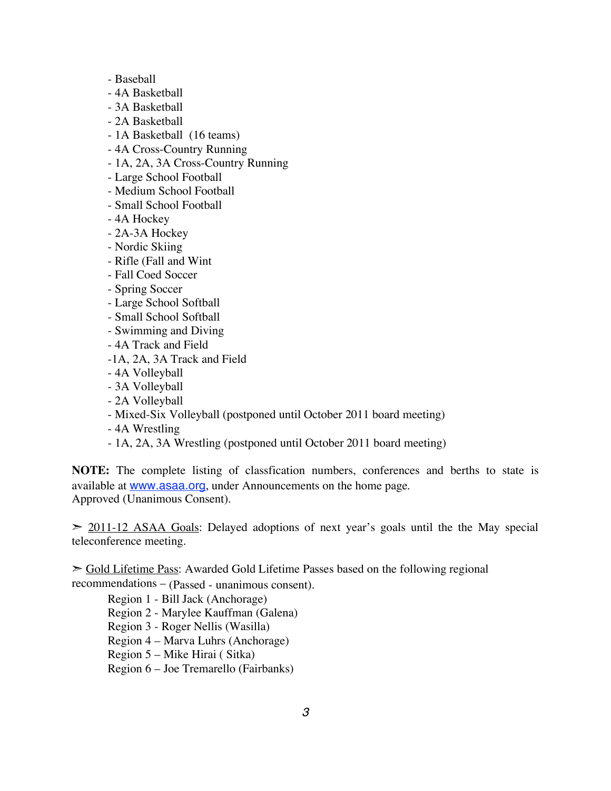- Baseball
- 4A Basketball
- 3A Basketball
- 2A Basketball
- 1A Basketball (16 teams)
- 4A Cross-Country Running
- 1A, 2A, 3A Cross-Country Running
- Large School Football
- Medium School Football
- Small School Football
- 4A Hockey
- 2A-3A Hockey
- Nordic Skiing
- Rifle (Fall and Wint
- Fall Coed Soccer
- Spring Soccer
- Large School Softball
- Small School Softball
- Swimming and Diving
- 4A Track and Field
- -1A, 2A, 3A Track and Field
- 4A Volleyball
- 3A Volleyball
- 2A Volleyball
- Mixed-Six Volleyball (postponed until October 2011 board meeting)
- 4A Wrestling
- 1A, 2A, 3A Wrestling (postponed until October 2011 board meeting)

**NOTE:** The complete listing of classfication numbers, conferences and berths to state is available at www.asaa.org, under Announcements on the home page. Approved (Unanimous Consent).

 $\geq$  2011-12 ASAA Goals: Delayed adoptions of next year's goals until the the May special teleconference meeting.

➣ Gold Lifetime Pass: Awarded Gold Lifetime Passes based on the following regional recommendations – (Passed - unanimous consent).

Region 1 - Bill Jack (Anchorage)

Region 2 - Marylee Kauffman (Galena)

Region 3 - Roger Nellis (Wasilla)

Region 4 – Marva Luhrs (Anchorage)

Region 5 – Mike Hirai ( Sitka)

Region 6 – Joe Tremarello (Fairbanks)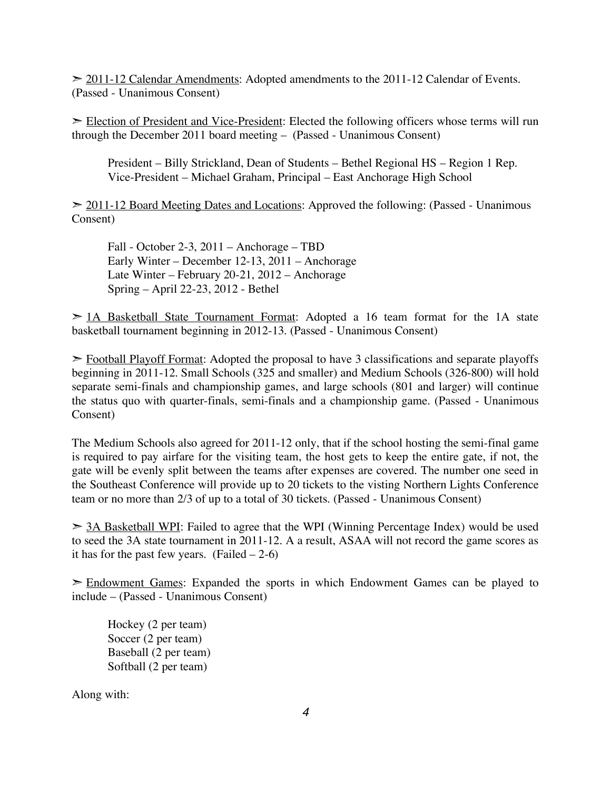$\geq$  2011-12 Calendar Amendments: Adopted amendments to the 2011-12 Calendar of Events. (Passed - Unanimous Consent)

 $\geq$  Election of President and Vice-President: Elected the following officers whose terms will run through the December 2011 board meeting – (Passed - Unanimous Consent)

President – Billy Strickland, Dean of Students – Bethel Regional HS – Region 1 Rep. Vice-President – Michael Graham, Principal – East Anchorage High School

➣ 2011-12 Board Meeting Dates and Locations: Approved the following: (Passed - Unanimous Consent)

Fall - October 2-3, 2011 – Anchorage – TBD Early Winter – December 12-13, 2011 – Anchorage Late Winter – February 20-21, 2012 – Anchorage Spring – April 22-23, 2012 - Bethel

 $\geq$  1A Basketball State Tournament Format: Adopted a 16 team format for the 1A state basketball tournament beginning in 2012-13. (Passed - Unanimous Consent)

 $\ge$  Football Playoff Format: Adopted the proposal to have 3 classifications and separate playoffs beginning in 2011-12. Small Schools (325 and smaller) and Medium Schools (326-800) will hold separate semi-finals and championship games, and large schools (801 and larger) will continue the status quo with quarter-finals, semi-finals and a championship game. (Passed - Unanimous Consent)

The Medium Schools also agreed for 2011-12 only, that if the school hosting the semi-final game is required to pay airfare for the visiting team, the host gets to keep the entire gate, if not, the gate will be evenly split between the teams after expenses are covered. The number one seed in the Southeast Conference will provide up to 20 tickets to the visting Northern Lights Conference team or no more than 2/3 of up to a total of 30 tickets. (Passed - Unanimous Consent)

➣ 3A Basketball WPI: Failed to agree that the WPI (Winning Percentage Index) would be used to seed the 3A state tournament in 2011-12. A a result, ASAA will not record the game scores as it has for the past few years. (Failed  $-2-6$ )

➣ Endowment Games: Expanded the sports in which Endowment Games can be played to include – (Passed - Unanimous Consent)

Hockey (2 per team) Soccer (2 per team) Baseball (2 per team) Softball (2 per team)

Along with: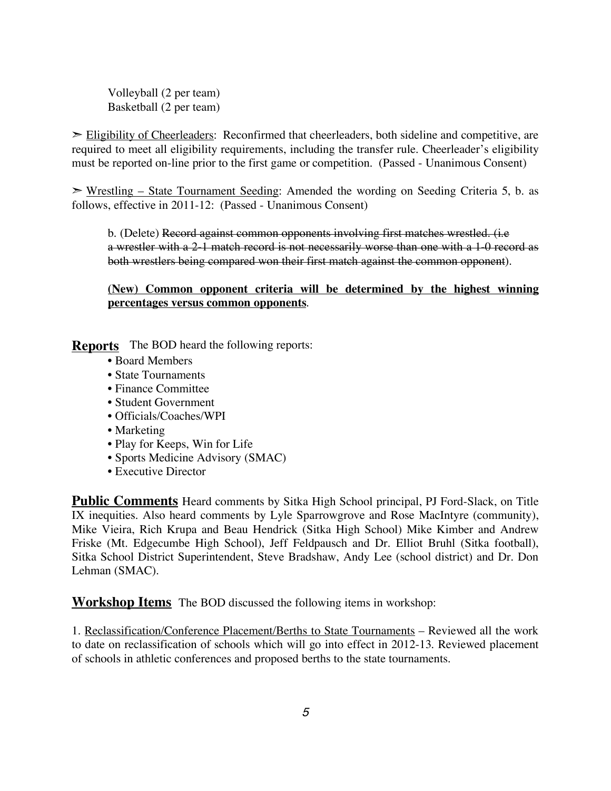Volleyball (2 per team) Basketball (2 per team)

 $\geq$  Eligibility of Cheerleaders: Reconfirmed that cheerleaders, both sideline and competitive, are required to meet all eligibility requirements, including the transfer rule. Cheerleader's eligibility must be reported on-line prior to the first game or competition. (Passed - Unanimous Consent)

 $\triangleright$  Wrestling – State Tournament Seeding: Amended the wording on Seeding Criteria 5, b. as follows, effective in 2011-12: (Passed - Unanimous Consent)

b. (Delete) Record against common opponents involving first matches wrestled. (i.e. a wrestler with a 2-1 match record is not necessarily worse than one with a 1-0 record as both wrestlers being compared won their first match against the common opponent).

**(New) Common opponent criteria will be determined by the highest winning percentages versus common opponents**.

**Reports** The BOD heard the following reports:

- Board Members
- State Tournaments
- Finance Committee
- Student Government
- Officials/Coaches/WPI
- Marketing
- Play for Keeps, Win for Life
- Sports Medicine Advisory (SMAC)
- Executive Director

**Public Comments** Heard comments by Sitka High School principal, PJ Ford-Slack, on Title IX inequities. Also heard comments by Lyle Sparrowgrove and Rose MacIntyre (community), Mike Vieira, Rich Krupa and Beau Hendrick (Sitka High School) Mike Kimber and Andrew Friske (Mt. Edgecumbe High School), Jeff Feldpausch and Dr. Elliot Bruhl (Sitka football), Sitka School District Superintendent, Steve Bradshaw, Andy Lee (school district) and Dr. Don Lehman (SMAC).

**Workshop Items** The BOD discussed the following items in workshop:

1. Reclassification/Conference Placement/Berths to State Tournaments – Reviewed all the work to date on reclassification of schools which will go into effect in 2012-13. Reviewed placement of schools in athletic conferences and proposed berths to the state tournaments.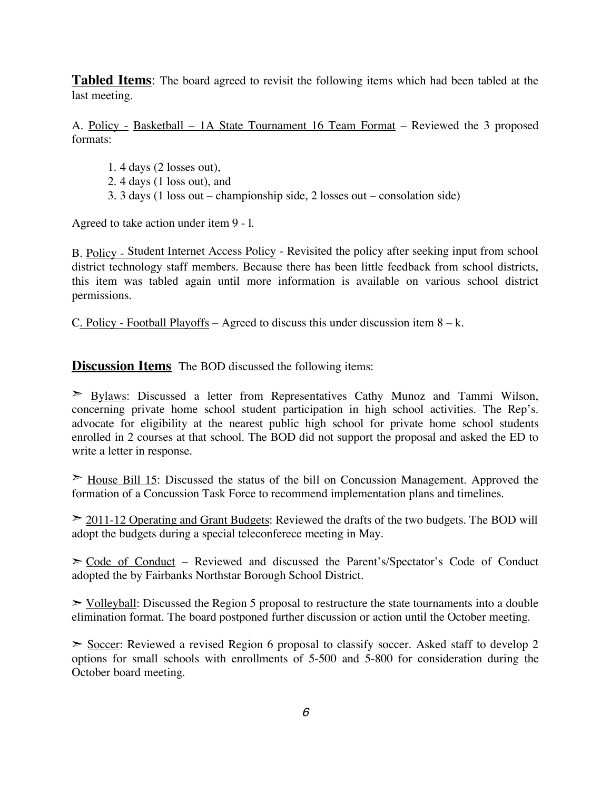**Tabled Items**: The board agreed to revisit the following items which had been tabled at the last meeting.

A. Policy - Basketball – 1A State Tournament 16 Team Format – Reviewed the 3 proposed formats:

- 1. 4 days (2 losses out),
- 2. 4 days (1 loss out), and
- 3. 3 days (1 loss out championship side, 2 losses out consolation side)

Agreed to take action under item 9 - l.

B. Policy - Student Internet Access Policy - Revisited the policy after seeking input from school district technology staff members. Because there has been little feedback from school districts, this item was tabled again until more information is available on various school district permissions.

C. Policy - Football Playoffs – Agreed to discuss this under discussion item  $8 - k$ .

**Discussion Items** The BOD discussed the following items:

➣ Bylaws: Discussed a letter from Representatives Cathy Munoz and Tammi Wilson, concerning private home school student participation in high school activities. The Rep's. advocate for eligibility at the nearest public high school for private home school students enrolled in 2 courses at that school. The BOD did not support the proposal and asked the ED to write a letter in response.

 $\geq$  House Bill 15: Discussed the status of the bill on Concussion Management. Approved the formation of a Concussion Task Force to recommend implementation plans and timelines.

 $\geq$  2011-12 Operating and Grant Budgets: Reviewed the drafts of the two budgets. The BOD will adopt the budgets during a special teleconferece meeting in May.

➣ Code of Conduct – Reviewed and discussed the Parent's/Spectator's Code of Conduct adopted the by Fairbanks Northstar Borough School District.

 $\ge$  Volleyball: Discussed the Region 5 proposal to restructure the state tournaments into a double elimination format. The board postponed further discussion or action until the October meeting.

 $\geq$  Soccer: Reviewed a revised Region 6 proposal to classify soccer. Asked staff to develop 2 options for small schools with enrollments of 5-500 and 5-800 for consideration during the October board meeting.